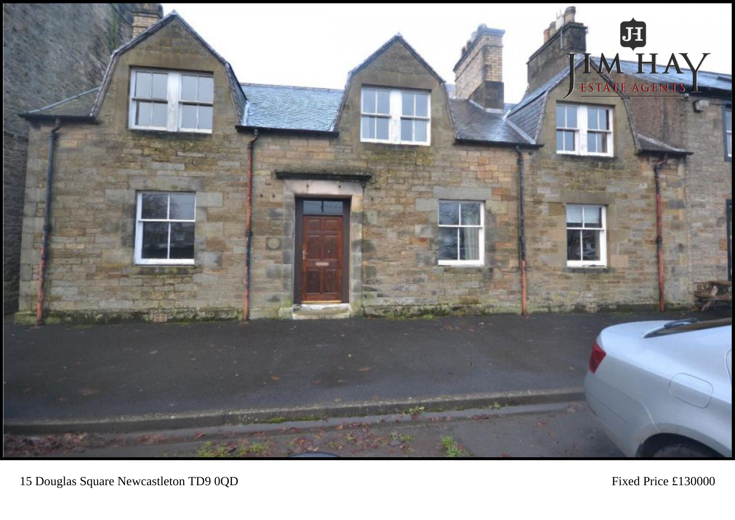

15 Douglas Square Newcastleton TD9 0QD

Fixed Price £130000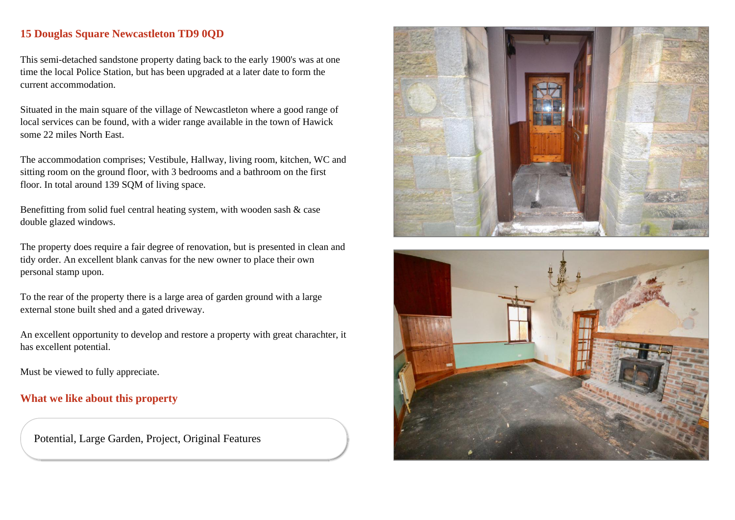## **15 Douglas Square Newcastleton TD9 0QD**

This semi-detached sandstone property dating back to the early 1900's was at one time the local Police Station, but has been upgraded at a later date to form the current accommodation.

Situated in the main square of the village of Newcastleton where a good range of local services can be found, with a wider range available in the town of Hawick some 22 miles North East.

The accommodation comprises; Vestibule, Hallway, living room, kitchen, WC and sitting room on the ground floor, with 3 bedrooms and a bathroom on the first floor. In total around 139 SQM of living space.

Benefitting from solid fuel central heating system, with wooden sash  $\&$  case double glazed windows.

The property does require a fair degree of renovation, but is presented in clean and tidy order. An excellent blank canvas for the new owner to place their own personal stamp upon.

To the rear of the property there is a large area of garden ground with a large external stone built shed and a gated driveway.

An excellent opportunity to develop and restore a property with great charachter, it has excellent potential.

Must be viewed to fully appreciate.

## **What we like about this property**

Potential, Large Garden, Project, Original Features



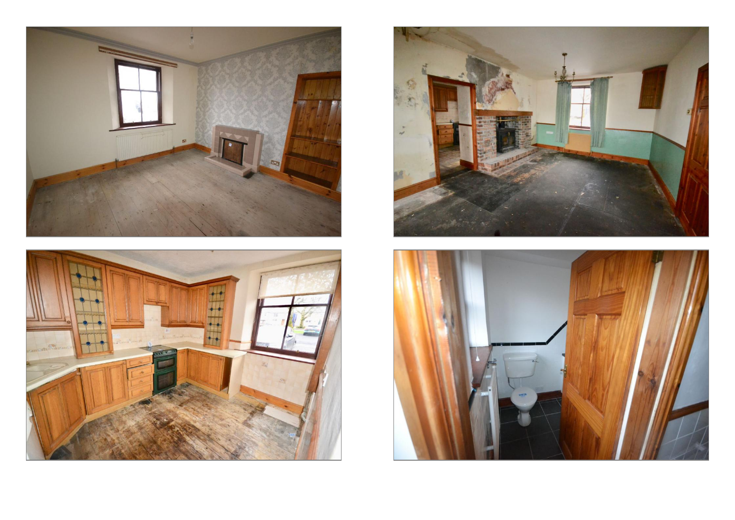